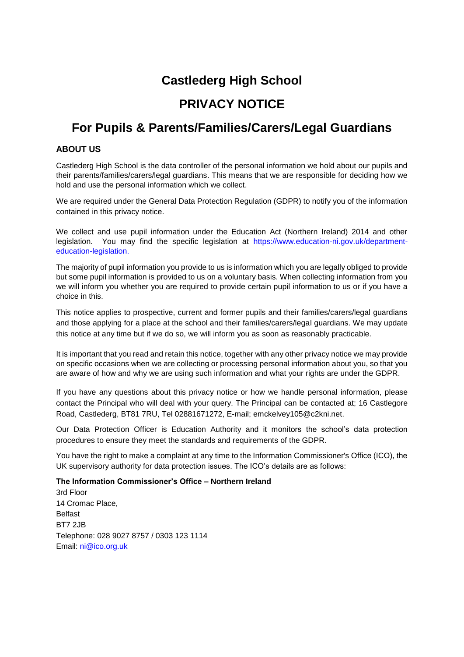# **Castlederg High School**

# **PRIVACY NOTICE**

# **For Pupils & Parents/Families/Carers/Legal Guardians**

# **ABOUT US**

Castlederg High School is the data controller of the personal information we hold about our pupils and their parents/families/carers/legal guardians. This means that we are responsible for deciding how we hold and use the personal information which we collect.

We are required under the General Data Protection Regulation (GDPR) to notify you of the information contained in this privacy notice.

We collect and use pupil information under the Education Act (Northern Ireland) 2014 and other legislation. You may find the specific legislation at https://www.education-ni.gov.uk/departmenteducation-legislation.

The majority of pupil information you provide to us is information which you are legally obliged to provide but some pupil information is provided to us on a voluntary basis. When collecting information from you we will inform you whether you are required to provide certain pupil information to us or if you have a choice in this.

This notice applies to prospective, current and former pupils and their families/carers/legal guardians and those applying for a place at the school and their families/carers/legal guardians. We may update this notice at any time but if we do so, we will inform you as soon as reasonably practicable.

It is important that you read and retain this notice, together with any other privacy notice we may provide on specific occasions when we are collecting or processing personal information about you, so that you are aware of how and why we are using such information and what your rights are under the GDPR.

If you have any questions about this privacy notice or how we handle personal information, please contact the Principal who will deal with your query. The Principal can be contacted at; 16 Castlegore Road, Castlederg, BT81 7RU, Tel 02881671272, E-mail; emckelvey105@c2kni.net.

Our Data Protection Officer is Education Authority and it monitors the school's data protection procedures to ensure they meet the standards and requirements of the GDPR.

You have the right to make a complaint at any time to the Information Commissioner's Office (ICO), the UK supervisory authority for data protection issues. The ICO's details are as follows:

#### **The Information Commissioner's Office – Northern Ireland**

3rd Floor 14 Cromac Place, Belfast BT7 2JB Telephone: 028 9027 8757 / 0303 123 1114 Email: ni@ico.org.uk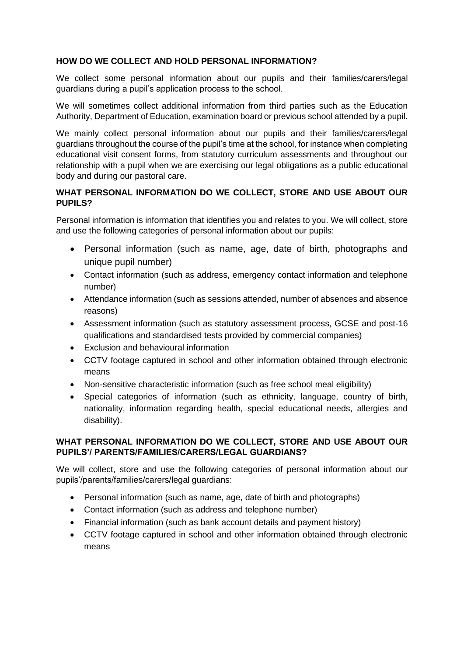# **HOW DO WE COLLECT AND HOLD PERSONAL INFORMATION?**

We collect some personal information about our pupils and their families/carers/legal guardians during a pupil's application process to the school.

We will sometimes collect additional information from third parties such as the Education Authority, Department of Education, examination board or previous school attended by a pupil.

We mainly collect personal information about our pupils and their families/carers/legal guardians throughout the course of the pupil's time at the school, for instance when completing educational visit consent forms, from statutory curriculum assessments and throughout our relationship with a pupil when we are exercising our legal obligations as a public educational body and during our pastoral care.

# **WHAT PERSONAL INFORMATION DO WE COLLECT, STORE AND USE ABOUT OUR PUPILS?**

Personal information is information that identifies you and relates to you. We will collect, store and use the following categories of personal information about our pupils:

- Personal information (such as name, age, date of birth, photographs and unique pupil number)
- Contact information (such as address, emergency contact information and telephone number)
- Attendance information (such as sessions attended, number of absences and absence reasons)
- Assessment information (such as statutory assessment process, GCSE and post-16 qualifications and standardised tests provided by commercial companies)
- Exclusion and behavioural information
- CCTV footage captured in school and other information obtained through electronic means
- Non-sensitive characteristic information (such as free school meal eligibility)
- Special categories of information (such as ethnicity, language, country of birth, nationality, information regarding health, special educational needs, allergies and disability).

# **WHAT PERSONAL INFORMATION DO WE COLLECT, STORE AND USE ABOUT OUR PUPILS'/ PARENTS/FAMILIES/CARERS/LEGAL GUARDIANS?**

We will collect, store and use the following categories of personal information about our pupils'/parents/families/carers/legal guardians:

- Personal information (such as name, age, date of birth and photographs)
- Contact information (such as address and telephone number)
- Financial information (such as bank account details and payment history)
- CCTV footage captured in school and other information obtained through electronic means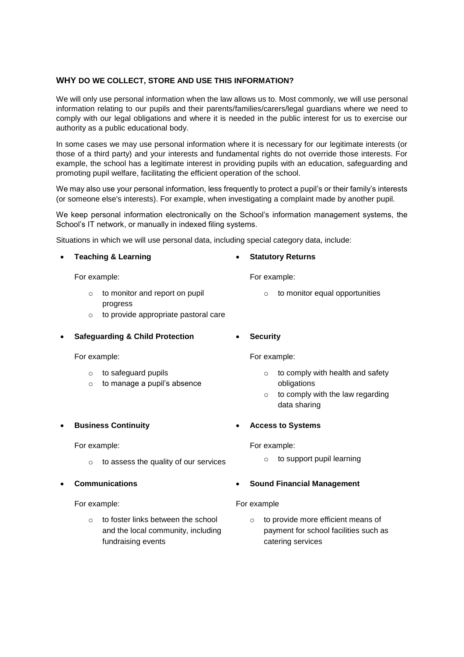#### **WHY DO WE COLLECT, STORE AND USE THIS INFORMATION?**

We will only use personal information when the law allows us to. Most commonly, we will use personal information relating to our pupils and their parents/families/carers/legal guardians where we need to comply with our legal obligations and where it is needed in the public interest for us to exercise our authority as a public educational body.

In some cases we may use personal information where it is necessary for our legitimate interests (or those of a third party) and your interests and fundamental rights do not override those interests. For example, the school has a legitimate interest in providing pupils with an education, safeguarding and promoting pupil welfare, facilitating the efficient operation of the school.

We may also use your personal information, less frequently to protect a pupil's or their family's interests (or someone else's interests). For example, when investigating a complaint made by another pupil.

We keep personal information electronically on the School's information management systems, the School's IT network, or manually in indexed filing systems.

Situations in which we will use personal data, including special category data, include:

- **Teaching & Learning** For example:  $\circ$  to monitor and report on pupil progress **Statutory Returns** For example: o to monitor equal opportunities
	- o to provide appropriate pastoral care
- **Safeguarding & Child Protection**
	- For example:
		- o to safeguard pupils
		- $\circ$  to manage a pupil's absence
- **Business Continuity**

For example:

- $\circ$  to assess the quality of our services
- **Communications**

For example:

o to foster links between the school and the local community, including fundraising events

**Security**

For example:

- $\circ$  to comply with health and safety obligations
- $\circ$  to comply with the law regarding data sharing
- **Access to Systems**

For example:

o to support pupil learning

#### **Sound Financial Management**

For example

o to provide more efficient means of payment for school facilities such as catering services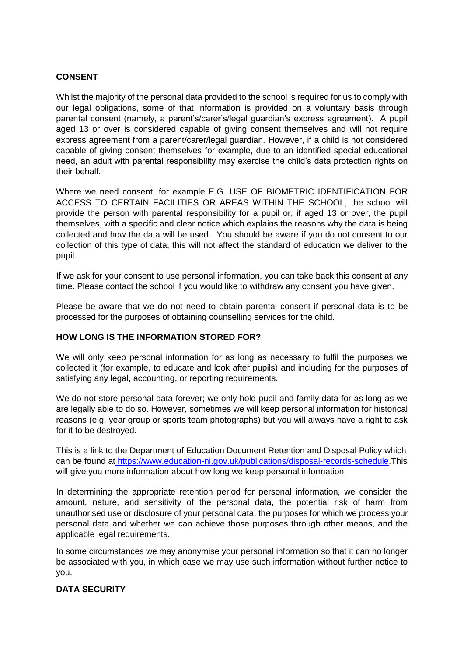# **CONSENT**

Whilst the majority of the personal data provided to the school is required for us to comply with our legal obligations, some of that information is provided on a voluntary basis through parental consent (namely, a parent's/carer's/legal guardian's express agreement). A pupil aged 13 or over is considered capable of giving consent themselves and will not require express agreement from a parent/carer/legal guardian. However, if a child is not considered capable of giving consent themselves for example, due to an identified special educational need, an adult with parental responsibility may exercise the child's data protection rights on their behalf.

Where we need consent, for example E.G. USE OF BIOMETRIC IDENTIFICATION FOR ACCESS TO CERTAIN FACILITIES OR AREAS WITHIN THE SCHOOL, the school will provide the person with parental responsibility for a pupil or, if aged 13 or over, the pupil themselves, with a specific and clear notice which explains the reasons why the data is being collected and how the data will be used. You should be aware if you do not consent to our collection of this type of data, this will not affect the standard of education we deliver to the pupil.

If we ask for your consent to use personal information, you can take back this consent at any time. Please contact the school if you would like to withdraw any consent you have given.

Please be aware that we do not need to obtain parental consent if personal data is to be processed for the purposes of obtaining counselling services for the child.

## **HOW LONG IS THE INFORMATION STORED FOR?**

We will only keep personal information for as long as necessary to fulfil the purposes we collected it (for example, to educate and look after pupils) and including for the purposes of satisfying any legal, accounting, or reporting requirements.

We do not store personal data forever; we only hold pupil and family data for as long as we are legally able to do so. However, sometimes we will keep personal information for historical reasons (e.g. year group or sports team photographs) but you will always have a right to ask for it to be destroyed.

This is a link to the Department of Education Document Retention and Disposal Policy which can be found at [https://www.education-ni.gov.uk/publications/disposal-records-schedule.](https://www.education-ni.gov.uk/publications/disposal-records-schedule)This will give you more information about how long we keep personal information.

In determining the appropriate retention period for personal information, we consider the amount, nature, and sensitivity of the personal data, the potential risk of harm from unauthorised use or disclosure of your personal data, the purposes for which we process your personal data and whether we can achieve those purposes through other means, and the applicable legal requirements.

In some circumstances we may anonymise your personal information so that it can no longer be associated with you, in which case we may use such information without further notice to you.

#### **DATA SECURITY**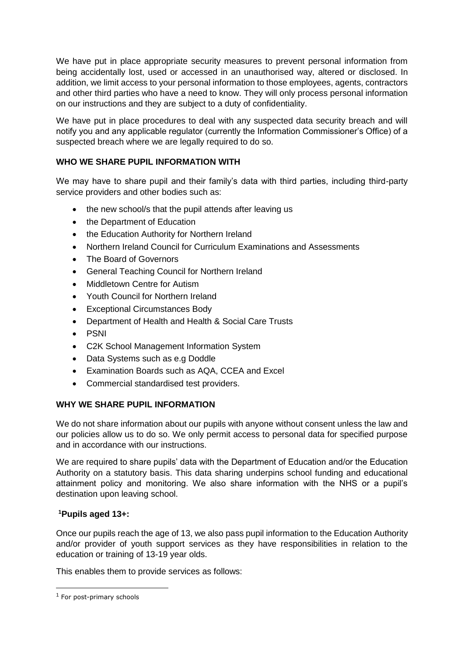We have put in place appropriate security measures to prevent personal information from being accidentally lost, used or accessed in an unauthorised way, altered or disclosed. In addition, we limit access to your personal information to those employees, agents, contractors and other third parties who have a need to know. They will only process personal information on our instructions and they are subject to a duty of confidentiality.

We have put in place procedures to deal with any suspected data security breach and will notify you and any applicable regulator (currently the Information Commissioner's Office) of a suspected breach where we are legally required to do so.

# **WHO WE SHARE PUPIL INFORMATION WITH**

We may have to share pupil and their family's data with third parties, including third-party service providers and other bodies such as:

- the new school/s that the pupil attends after leaving us
- the Department of Education
- the Education Authority for Northern Ireland
- Northern Ireland Council for Curriculum Examinations and Assessments
- The Board of Governors
- General Teaching Council for Northern Ireland
- Middletown Centre for Autism
- Youth Council for Northern Ireland
- Exceptional Circumstances Body
- Department of Health and Health & Social Care Trusts
- PSNI
- C2K School Management Information System
- Data Systems such as e.g Doddle
- Examination Boards such as AQA, CCEA and Excel
- Commercial standardised test providers.

## **WHY WE SHARE PUPIL INFORMATION**

We do not share information about our pupils with anyone without consent unless the law and our policies allow us to do so. We only permit access to personal data for specified purpose and in accordance with our instructions.

We are required to share pupils' data with the Department of Education and/or the Education Authority on a statutory basis. This data sharing underpins school funding and educational attainment policy and monitoring. We also share information with the NHS or a pupil's destination upon leaving school.

## **<sup>1</sup>Pupils aged 13+:**

Once our pupils reach the age of 13, we also pass pupil information to the Education Authority and/or provider of youth support services as they have responsibilities in relation to the education or training of 13-19 year olds.

This enables them to provide services as follows:

-

<sup>1</sup> For post-primary schools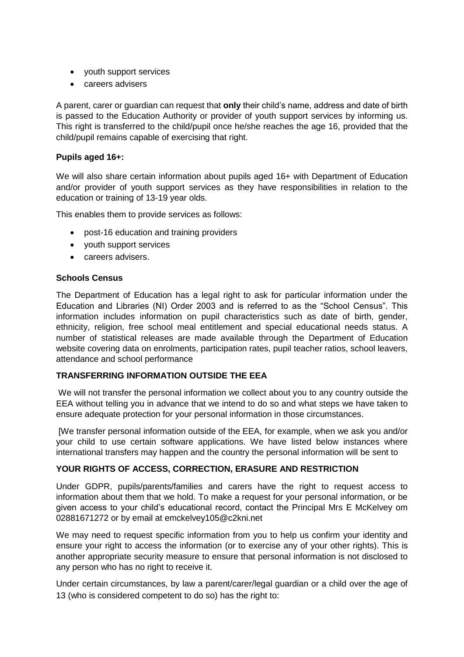- youth support services
- careers advisers

A parent, carer or guardian can request that **only** their child's name, address and date of birth is passed to the Education Authority or provider of youth support services by informing us. This right is transferred to the child/pupil once he/she reaches the age 16, provided that the child/pupil remains capable of exercising that right.

## **Pupils aged 16+:**

We will also share certain information about pupils aged 16+ with Department of Education and/or provider of youth support services as they have responsibilities in relation to the education or training of 13-19 year olds.

This enables them to provide services as follows:

- post-16 education and training providers
- vouth support services
- careers advisers.

## **Schools Census**

The Department of Education has a legal right to ask for particular information under the Education and Libraries (NI) Order 2003 and is referred to as the "School Census". This information includes information on pupil characteristics such as date of birth, gender, ethnicity, religion, free school meal entitlement and special educational needs status. A number of statistical releases are made available through the Department of Education website covering data on enrolments, participation rates, pupil teacher ratios, school leavers, attendance and school performance

## **TRANSFERRING INFORMATION OUTSIDE THE EEA**

We will not transfer the personal information we collect about you to any country outside the EEA without telling you in advance that we intend to do so and what steps we have taken to ensure adequate protection for your personal information in those circumstances.

[We transfer personal information outside of the EEA, for example, when we ask you and/or your child to use certain software applications. We have listed below instances where international transfers may happen and the country the personal information will be sent to

## **YOUR RIGHTS OF ACCESS, CORRECTION, ERASURE AND RESTRICTION**

Under GDPR, pupils/parents/families and carers have the right to request access to information about them that we hold. To make a request for your personal information, or be given access to your child's educational record, contact the Principal Mrs E McKelvey om 02881671272 or by email at emckelvey105@c2kni.net

We may need to request specific information from you to help us confirm your identity and ensure your right to access the information (or to exercise any of your other rights). This is another appropriate security measure to ensure that personal information is not disclosed to any person who has no right to receive it.

Under certain circumstances, by law a parent/carer/legal guardian or a child over the age of 13 (who is considered competent to do so) has the right to: